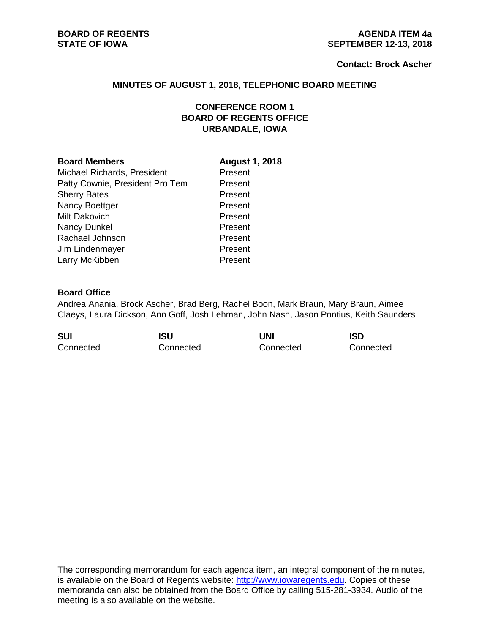#### **Contact: Brock Ascher**

#### **MINUTES OF AUGUST 1, 2018, TELEPHONIC BOARD MEETING**

# **CONFERENCE ROOM 1 BOARD OF REGENTS OFFICE URBANDALE, IOWA**

#### **Board Members August 1, 2018**

Michael Richards, President Present Patty Cownie, President Pro Tem Present Sherry Bates **Present** Nancy Boettger **Present** Milt Dakovich **Present** Nancy Dunkel Present Rachael Johnson **Present** Jim Lindenmayer **Present** Larry McKibben **Present** 

### **Board Office**

Andrea Anania, Brock Ascher, Brad Berg, Rachel Boon, Mark Braun, Mary Braun, Aimee Claeys, Laura Dickson, Ann Goff, Josh Lehman, John Nash, Jason Pontius, Keith Saunders

| <b>SUI</b> | <b>ISU</b> | UNI       | <b>ISD</b> |
|------------|------------|-----------|------------|
| Connected  | Connected  | Connected | Connected  |

The corresponding memorandum for each agenda item, an integral component of the minutes, is available on the Board of Regents website: [http://www.iowaregents.edu.](http://www.iowaregents.edu/) Copies of these memoranda can also be obtained from the Board Office by calling 515-281-3934. Audio of the meeting is also available on the website.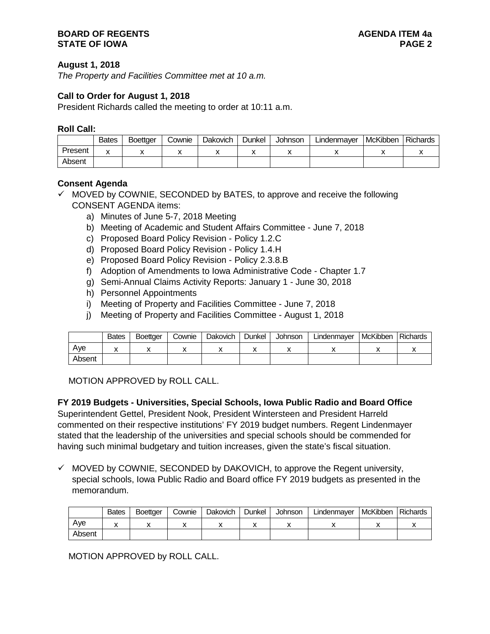## **August 1, 2018**

*The Property and Facilities Committee met at 10 a.m.*

## **Call to Order for August 1, 2018**

President Richards called the meeting to order at 10:11 a.m.

#### **Roll Call:**

|         | <b>Bates</b> | <b>Boettaer</b> | Cownie | Dakovich | Dunkel | Johnson | Lindenmayer | McKibben | Richards |
|---------|--------------|-----------------|--------|----------|--------|---------|-------------|----------|----------|
| Present | v            |                 |        |          |        |         |             |          |          |
| Absent  |              |                 |        |          |        |         |             |          |          |

### **Consent Agenda**

- $\checkmark$  MOVED by COWNIE, SECONDED by BATES, to approve and receive the following CONSENT AGENDA items:
	- a) Minutes of June 5-7, 2018 Meeting
	- b) Meeting of Academic and Student Affairs Committee June 7, 2018
	- c) Proposed Board Policy Revision Policy 1.2.C
	- d) Proposed Board Policy Revision Policy 1.4.H
	- e) Proposed Board Policy Revision Policy 2.3.8.B
	- f) Adoption of Amendments to Iowa Administrative Code Chapter 1.7
	- g) Semi-Annual Claims Activity Reports: January 1 June 30, 2018
	- h) Personnel Appointments
	- i) Meeting of Property and Facilities Committee June 7, 2018
	- j) Meeting of Property and Facilities Committee August 1, 2018

|        | <b>Bates</b> | <b>Boettaer</b> | Cownie | <b>Dakovich</b> | Dunkel | Johnson | Lindenmayer | <b>I</b> McKibben | <b>Richards</b> |
|--------|--------------|-----------------|--------|-----------------|--------|---------|-------------|-------------------|-----------------|
| Ave    |              |                 |        |                 |        |         |             |                   |                 |
| Absent |              |                 |        |                 |        |         |             |                   |                 |

MOTION APPROVED by ROLL CALL.

### **FY 2019 Budgets - Universities, Special Schools, Iowa Public Radio and Board Office**

Superintendent Gettel, President Nook, President Wintersteen and President Harreld commented on their respective institutions' FY 2019 budget numbers. Regent Lindenmayer stated that the leadership of the universities and special schools should be commended for having such minimal budgetary and tuition increases, given the state's fiscal situation.

 $\checkmark$  MOVED by COWNIE, SECONDED by DAKOVICH, to approve the Regent university, special schools, Iowa Public Radio and Board office FY 2019 budgets as presented in the memorandum.

|        | <b>Bates</b> | <b>Boettger</b> | Cownie | Dakovich | Dunkel | <b>Johnson</b> | Lindenmayer | <b>McKibben</b> | <b>Richards</b> |
|--------|--------------|-----------------|--------|----------|--------|----------------|-------------|-----------------|-----------------|
| Ave    |              |                 |        |          |        |                |             |                 |                 |
| Absent |              |                 |        |          |        |                |             |                 |                 |

MOTION APPROVED by ROLL CALL.